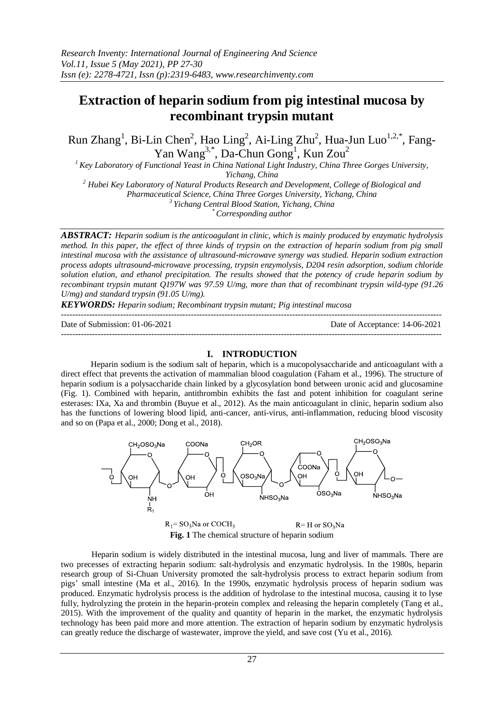# **Extraction of heparin sodium from pig intestinal mucosa by recombinant trypsin mutant**

Run Zhang<sup>1</sup>, Bi-Lin Chen<sup>2</sup>, Hao Ling<sup>2</sup>, Ai-Ling Zhu<sup>2</sup>, Hua-Jun Luo<sup>1,2,\*</sup>, Fang-Yan Wang<sup>3,\*</sup>, Da-Chun Gong<sup>1</sup>, Kun Zou<sup>2</sup>

*<sup>1</sup>Key Laboratory of Functional Yeast in China National Light Industry, China Three Gorges University, Yichang, China*

*<sup>2</sup> Hubei Key Laboratory of Natural Products Research and Development, College of Biological and* 

*Pharmaceutical Science, China Three Gorges University, Yichang, China*

*3 Yichang Central Blood Station, Yichang, China*

*\* Corresponding author*

*ABSTRACT: Heparin sodium is the anticoagulant in clinic, which is mainly produced by enzymatic hydrolysis method. In this paper, the effect of three kinds of trypsin on the extraction of heparin sodium from pig small intestinal mucosa with the assistance of ultrasound-microwave synergy was studied. Heparin sodium extraction process adopts ultrasound-microwave processing, trypsin enzymolysis, D204 resin adsorption, sodium chloride solution elution, and ethanol precipitation. The results showed that the potency of crude heparin sodium by recombinant trypsin mutant Q197W was 97.59 U/mg, more than that of recombinant trypsin wild-type (91.26 U/mg) and standard trypsin (91.05 U/mg).*

*KEYWORDS: Heparin sodium; Recombinant trypsin mutant; Pig intestinal mucosa*

--------------------------------------------------------------------------------------------------------------------------------------- Date of Submission: 01-06-2021 Date of Acceptance: 14-06-2021

---------------------------------------------------------------------------------------------------------------------------------------

# **I. INTRODUCTION**

Heparin sodium is the sodium salt of heparin, which is a mucopolysaccharide and anticoagulant with a direct effect that prevents the activation of mammalian blood coagulation (Faham et al., 1996). The structure of heparin sodium is a polysaccharide chain linked by a glycosylation bond between uronic acid and glucosamine (Fig. 1). Combined with heparin, antithrombin exhibits the fast and potent inhibition for coagulant serine esterases: IXa, Xa and thrombin (Buyue et al., 2012). As the main anticoagulant in clinic, heparin sodium also has the functions of lowering blood lipid, anti-cancer, anti-virus, anti-inflammation, reducing blood viscosity and so on (Papa et al., 2000; Dong et al., 2018).



**Fig. 1** The chemical structure of heparin sodium

Heparin sodium is widely distributed in the intestinal mucosa, lung and liver of mammals. There are two precesses of extracting heparin sodium: salt-hydrolysis and enzymatic hydrolysis. In the 1980s, heparin research group of Si-Chuan University promoted the salt-hydrolysis process to extract heparin sodium from pigs' small intestine (Ma et al., 2016). In the 1990s, enzymatic hydrolysis process of heparin sodium was produced. Enzymatic hydrolysis process is the addition of hydrolase to the intestinal mucosa, causing it to lyse fully, hydrolyzing the protein in the heparin-protein complex and releasing the heparin completely (Tang et al., 2015). With the improvement of the quality and quantity of heparin in the market, the enzymatic hydrolysis technology has been paid more and more attention. The extraction of heparin sodium by enzymatic hydrolysis can greatly reduce the discharge of wastewater, improve the yield, and save cost (Yu et al., 2016).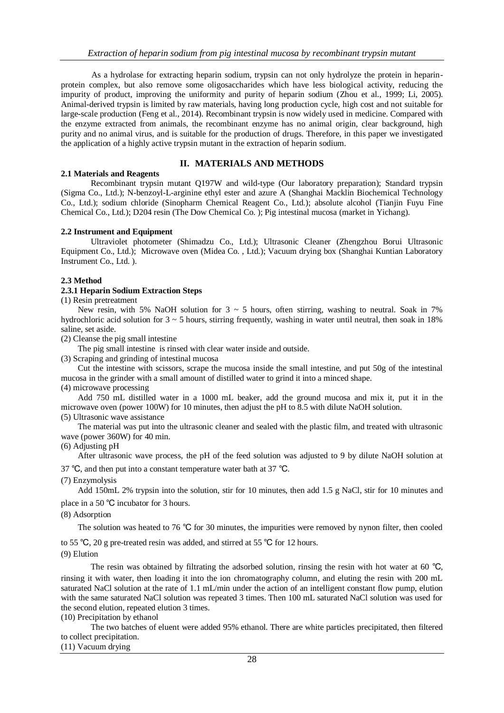As a hydrolase for extracting heparin sodium, trypsin can not only hydrolyze the protein in heparinprotein complex, but also remove some oligosaccharides which have less biological activity, reducing the impurity of product, improving the uniformity and purity of heparin sodium (Zhou et al., 1999; Li, 2005). Animal-derived trypsin is limited by raw materials, having long production cycle, high cost and not suitable for large-scale production (Feng et al., 2014). Recombinant trypsin is now widely used in medicine. Compared with the enzyme extracted from animals, the recombinant enzyme has no animal origin, clear background, high purity and no animal virus, and is suitable for the production of drugs. Therefore, in this paper we investigated the application of a highly active trypsin mutant in the extraction of heparin sodium.

# **II. MATERIALS AND METHODS**

#### **2.1 Materials and Reagents**

Recombinant trypsin mutant Q197W and wild-type (Our laboratory preparation); Standard trypsin (Sigma Co., Ltd.); N-benzoyl-L-arginine ethyl ester and azure A (Shanghai Macklin Biochemical Technology Co., Ltd.); sodium chloride (Sinopharm Chemical Reagent Co., Ltd.); [absolute alcohol](https://fanyi.so.com/#absolute alcohol) (Tianjin Fuyu Fine Chemical Co., Ltd.); D204 resin (The Dow Chemical Co. ); Pig intestinal mucosa (market in Yichang).

#### **2.2 Instrument and Equipment**

Ultraviolet photometer (Shimadzu Co., Ltd.); Ultrasonic Cleaner (Zhengzhou Borui Ultrasonic Equipment Co., Ltd.); Microwave oven (Midea Co. , Ltd.); Vacuum drying box (Shanghai Kuntian Laboratory Instrument Co., Ltd. ).

#### **2.3 Method**

#### **2.3.1 Heparin Sodium Extraction Steps**

(1) Resin pretreatment

New resin, with 5% NaOH solution for  $3 \sim 5$  hours, often stirring, washing to neutral. Soak in 7% hydrochloric acid solution for  $3 \sim 5$  hours, stirring frequently, washing in water until neutral, then soak in 18% saline, set aside.

(2) Cleanse the pig small intestine

The pig small intestine is rinsed with clear water inside and outside.

(3) Scraping and grinding of intestinal mucosa

Cut the intestine with scissors, scrape the mucosa inside the small intestine, and put 50g of the intestinal mucosa in the grinder with a small amount of distilled water to grind it into a minced shape. (4) microwave processing

Add 750 mL distilled water in a 1000 mL beaker, add the ground mucosa and mix it, put it in the microwave oven (power 100W) for 10 minutes, then adjust the pH to 8.5 with dilute NaOH solution.

(5) Ultrasonic wave assistance

The material was put into the ultrasonic cleaner and sealed with the plastic film, and treated with ultrasonic wave (power 360W) for 40 min.

(6) Adjusting pH

After ultrasonic wave process, the pH of the feed solution was adjusted to 9 by dilute NaOH solution at

37 ℃, and then put into a constant temperature water bath at 37 ℃.

(7) Enzymolysis

Add 150mL 2% trypsin into the solution, stir for 10 minutes, then add 1.5 g NaCl, stir for 10 minutes and place in a 50 ℃ incubator for 3 hours.

(8) Adsorption

The solution was heated to 76 ℃ for 30 minutes, the impurities were removed by nynon filter, then cooled to 55 ℃, 20 g pre-treated resin was added, and stirred at 55 ℃ for 12 hours.

(9) Elution

The resin was obtained by filtrating the adsorbed solution, rinsing the resin with hot water at 60 ℃, rinsing it with water, then loading it into the ion chromatography column, and eluting the resin with 200 mL saturated NaCl solution at the rate of 1.1 mL/min under the action of an intelligent constant flow pump, elution with the same saturated NaCl solution was repeated 3 times. Then 100 mL saturated NaCl solution was used for the second elution, repeated elution 3 times.

(10) Precipitation by ethanol

The two batches of eluent were added 95% ethanol. There are white particles precipitated, then filtered to collect precipitation.

(11) Vacuum drying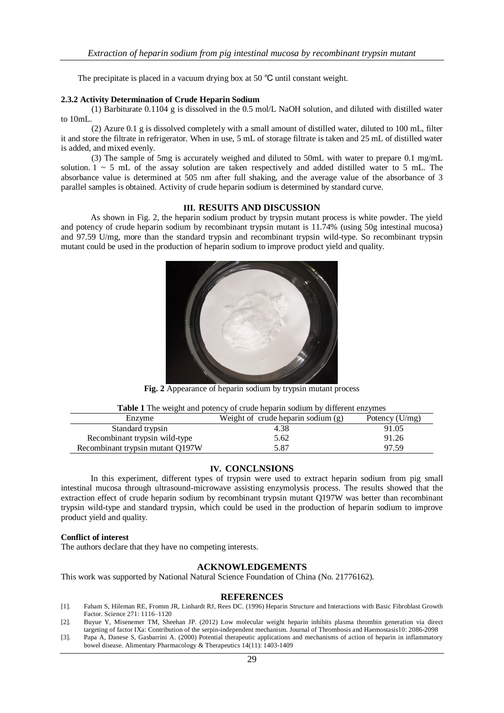The precipitate is placed in a vacuum drying box at 50 ℃ until constant weight.

#### **2.3.2 Activity Determination of Crude Heparin Sodium**

(1) Barbiturate 0.1104 g is dissolved in the 0.5 mol/L NaOH solution, and diluted with distilled water to 10mL.

(2) Azure 0.1 g is dissolved completely with a small amount of distilled water, diluted to 100 mL, filter it and store the filtrate in refrigerator. When in use, 5 mL of storage filtrate is taken and 25 mL of distilled water is added, and mixed evenly.

(3) The sample of 5mg is accurately weighed and diluted to 50mL with water to prepare 0.1 mg/mL solution.  $1 \sim 5$  mL of the assay solution are taken respectively and added distilled water to 5 mL. The absorbance value is determined at 505 nm after full shaking, and the average value of the absorbance of 3 parallel samples is obtained. Activity of crude heparin sodium is determined by standard curve.

## **III. RESUITS AND DISCUSSION**

As shown in Fig. 2, the heparin sodium product by trypsin mutant process is white powder. The yield and potency of crude heparin sodium by recombinant trypsin mutant is 11.74% (using 50g intestinal mucosa) and 97.59 U/mg, more than the standard trypsin and recombinant trypsin wild-type. So recombinant trypsin mutant could be used in the production of heparin sodium to improve product yield and quality.



**Fig. 2** Appearance of heparin sodium by trypsin mutant process

| Table 1 The weight and potency of crude heparin sodium by different enzymes |  |  |  |
|-----------------------------------------------------------------------------|--|--|--|
|-----------------------------------------------------------------------------|--|--|--|

| Enzyme                           | Weight of crude heparin sodium $(g)$ | Potency $(U/mg)$ |
|----------------------------------|--------------------------------------|------------------|
| Standard trypsin                 | 4.38                                 | 91.05            |
| Recombinant trypsin wild-type    | 5.62                                 | 91.26            |
| Recombinant trypsin mutant Q197W | 5.87                                 | 97.59            |

## **IV. CONCLNSIONS**

In this experiment, different types of trypsin were used to extract heparin sodium from pig small intestinal mucosa through ultrasound-microwave assisting enzymolysis process. The results showed that the extraction effect of crude heparin sodium by recombinant trypsin mutant Q197W was better than recombinant trypsin wild-type and standard trypsin, which could be used in the production of heparin sodium to improve product yield and quality.

# **Conflict of interest**

The authors declare that they have no competing interests.

## **ACKNOWLEDGEMENTS**

This work was supported by National Natural Science Foundation of China (No. 21776162).

#### **REFERENCES**

- [1]. Faham S, Hileman RE, Fromm JR, Linhardt RJ, Rees DC. (1996) Heparin Structure and Interactions with Basic Fibroblast Growth Factor. Science 271: 1116–1120
- [2]. Buyue Y, Misenemer TM, Sheehan JP. (2012) Low molecular weight heparin inhibits plasma thrombin generation via direct targeting of factor IXa: Contribution of the serpin-independent mechanism. Journal of Thrombosis and Haemostasis10: 2086-2098
- [3]. Papa A, Danese S, Gasbarrini A. (2000) Potential therapeutic applications and mechanisms of action of heparin in inflammatory bowel disease. Alimentary Pharmacology & Therapeutics 14(11): 1403-1409